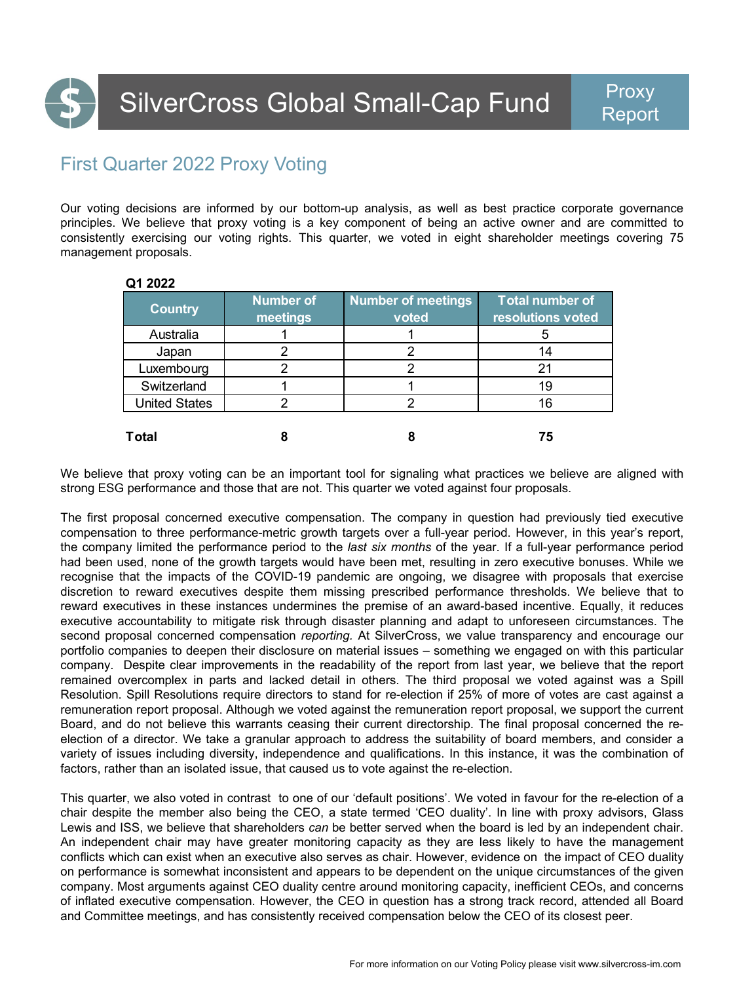

## First Quarter 2022 Proxy Voting

**Q1 2022**

Our voting decisions are informed by our bottom-up analysis, as well as best practice corporate governance principles. We believe that proxy voting is a key component of being an active owner and are committed to consistently exercising our voting rights. This quarter, we voted in eight shareholder meetings covering 75 management proposals.

| QT ZUZZ              |                       |                                    |                                             |
|----------------------|-----------------------|------------------------------------|---------------------------------------------|
| <b>Country</b>       | Number of<br>meetings | <b>Number of meetings</b><br>voted | <b>Total number of</b><br>resolutions voted |
| Australia            |                       |                                    |                                             |
| Japan                |                       |                                    | 14                                          |
| Luxembourg           |                       |                                    | 21                                          |
| Switzerland          |                       |                                    | 19                                          |
| <b>United States</b> |                       |                                    | 16                                          |
| <b>Total</b>         |                       |                                    | 75                                          |

We believe that proxy voting can be an important tool for signaling what practices we believe are aligned with strong ESG performance and those that are not. This quarter we voted against four proposals.

The first proposal concerned executive compensation. The company in question had previously tied executive compensation to three performance-metric growth targets over a full-year period. However, in this year's report, the company limited the performance period to the *last six months* of the year. If a full-year performance period had been used, none of the growth targets would have been met, resulting in zero executive bonuses. While we recognise that the impacts of the COVID-19 pandemic are ongoing, we disagree with proposals that exercise discretion to reward executives despite them missing prescribed performance thresholds. We believe that to reward executives in these instances undermines the premise of an award-based incentive. Equally, it reduces executive accountability to mitigate risk through disaster planning and adapt to unforeseen circumstances. The second proposal concerned compensation *reporting.* At SilverCross, we value transparency and encourage our portfolio companies to deepen their disclosure on material issues – something we engaged on with this particular company. Despite clear improvements in the readability of the report from last year, we believe that the report remained overcomplex in parts and lacked detail in others. The third proposal we voted against was a Spill Resolution. Spill Resolutions require directors to stand for re-election if 25% of more of votes are cast against a remuneration report proposal. Although we voted against the remuneration report proposal, we support the current Board, and do not believe this warrants ceasing their current directorship. The final proposal concerned the reelection of a director. We take a granular approach to address the suitability of board members, and consider a variety of issues including diversity, independence and qualifications. In this instance, it was the combination of factors, rather than an isolated issue, that caused us to vote against the re-election.

This quarter, we also voted in contrast to one of our 'default positions'. We voted in favour for the re-election of a chair despite the member also being the CEO, a state termed 'CEO duality'. In line with proxy advisors, Glass Lewis and ISS, we believe that shareholders *can* be better served when the board is led by an independent chair. An independent chair may have greater monitoring capacity as they are less likely to have the management conflicts which can exist when an executive also serves as chair. However, evidence on the impact of CEO duality on performance is somewhat inconsistent and appears to be dependent on the unique circumstances of the given company. Most arguments against CEO duality centre around monitoring capacity, inefficient CEOs, and concerns of inflated executive compensation. However, the CEO in question has a strong track record, attended all Board and Committee meetings, and has consistently received compensation below the CEO of its closest peer.